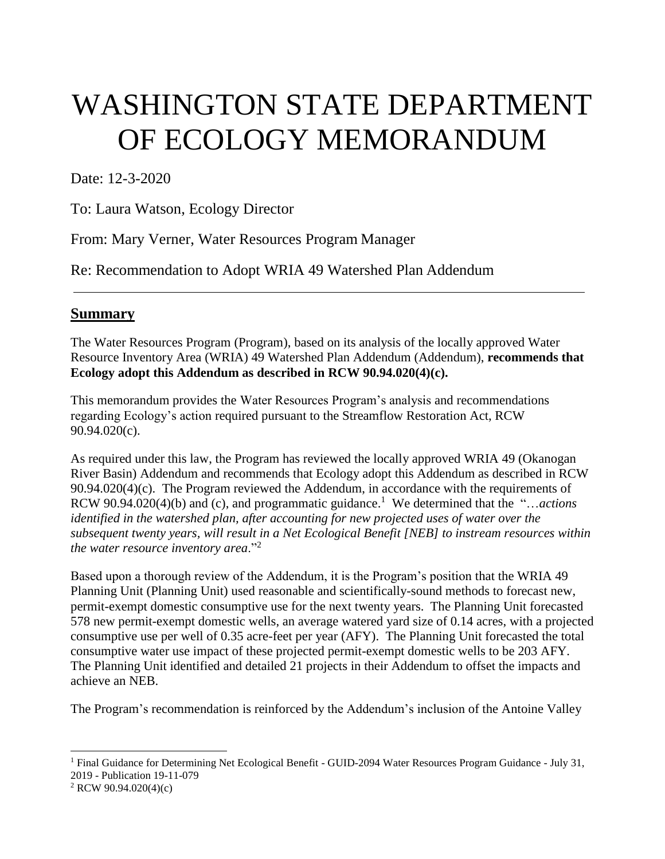# WASHINGTON STATE DEPARTMENT OF ECOLOGY MEMORANDUM

Date: 12-3-2020

To: Laura Watson, Ecology Director

From: Mary Verner, Water Resources Program Manager

Re: Recommendation to Adopt WRIA 49 Watershed Plan Addendum

#### **Summary**

The Water Resources Program (Program), based on its analysis of the locally approved Water Resource Inventory Area (WRIA) 49 Watershed Plan Addendum (Addendum), **recommends that Ecology adopt this Addendum as described in RCW 90.94.020(4)(c).**

This memorandum provides the Water Resources Program's analysis and recommendations regarding Ecology's action required pursuant to the Streamflow Restoration Act, RCW 90.94.020(c).

As required under this law, the Program has reviewed the locally approved WRIA 49 (Okanogan River Basin) Addendum and recommends that Ecology adopt this Addendum as described in RCW  $90.94.020(4)(c)$ . The Program reviewed the Addendum, in accordance with the requirements of RCW 90.94.020(4)(b) and (c), and programmatic guidance. 1 We determined that the "…*actions identified in the watershed plan, after accounting for new projected uses of water over the subsequent twenty years, will result in a Net Ecological Benefit [NEB] to instream resources within the water resource inventory area*."<sup>2</sup>

Based upon a thorough review of the Addendum, it is the Program's position that the WRIA 49 Planning Unit (Planning Unit) used reasonable and scientifically-sound methods to forecast new, permit-exempt domestic consumptive use for the next twenty years. The Planning Unit forecasted 578 new permit-exempt domestic wells, an average watered yard size of 0.14 acres, with a projected consumptive use per well of 0.35 acre-feet per year (AFY). The Planning Unit forecasted the total consumptive water use impact of these projected permit-exempt domestic wells to be 203 AFY. The Planning Unit identified and detailed 21 projects in their Addendum to offset the impacts and achieve an NEB.

The Program's recommendation is reinforced by the Addendum's inclusion of the Antoine Valley

l

<sup>&</sup>lt;sup>1</sup> Final Guidance for Determining Net Ecological Benefit - GUID-2094 Water Resources Program Guidance - July 31, 2019 - Publication 19-11-079

<sup>2</sup> RCW 90.94.020(4)(c)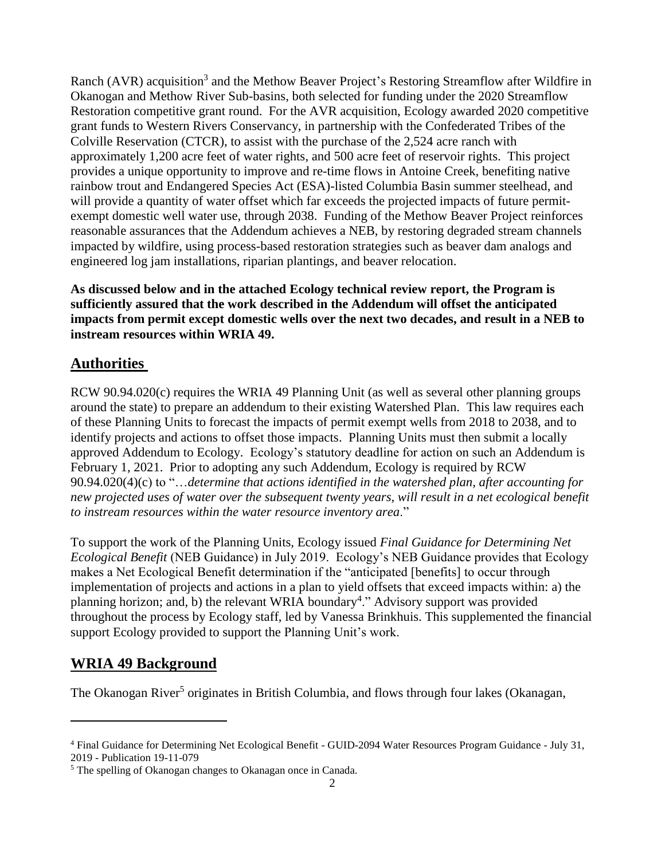Ranch (AVR) acquisition<sup>3</sup> and the Methow Beaver Project's Restoring Streamflow after Wildfire in Okanogan and Methow River Sub-basins, both selected for funding under the 2020 Streamflow Restoration competitive grant round. For the AVR acquisition, Ecology awarded 2020 competitive grant funds to Western Rivers Conservancy, in partnership with the Confederated Tribes of the Colville Reservation (CTCR), to assist with the purchase of the 2,524 acre ranch with approximately 1,200 acre feet of water rights, and 500 acre feet of reservoir rights. This project provides a unique opportunity to improve and re-time flows in Antoine Creek, benefiting native rainbow trout and Endangered Species Act (ESA)-listed Columbia Basin summer steelhead, and will provide a quantity of water offset which far exceeds the projected impacts of future permitexempt domestic well water use, through 2038. Funding of the Methow Beaver Project reinforces reasonable assurances that the Addendum achieves a NEB, by restoring degraded stream channels impacted by wildfire, using process-based restoration strategies such as beaver dam analogs and engineered log jam installations, riparian plantings, and beaver relocation.

**As discussed below and in the attached Ecology technical review report, the Program is sufficiently assured that the work described in the Addendum will offset the anticipated impacts from permit except domestic wells over the next two decades, and result in a NEB to instream resources within WRIA 49.**

## **Authorities**

RCW 90.94.020(c) requires the WRIA 49 Planning Unit (as well as several other planning groups around the state) to prepare an addendum to their existing Watershed Plan. This law requires each of these Planning Units to forecast the impacts of permit exempt wells from 2018 to 2038, and to identify projects and actions to offset those impacts. Planning Units must then submit a locally approved Addendum to Ecology. Ecology's statutory deadline for action on such an Addendum is February 1, 2021. Prior to adopting any such Addendum, Ecology is required by RCW 90.94.020(4)(c) to "…*determine that actions identified in the watershed plan, after accounting for new projected uses of water over the subsequent twenty years, will result in a net ecological benefit to instream resources within the water resource inventory area*."

To support the work of the Planning Units, Ecology issued *Final Guidance for Determining Net Ecological Benefit* (NEB Guidance) in July 2019. Ecology's NEB Guidance provides that Ecology makes a Net Ecological Benefit determination if the "anticipated [benefits] to occur through implementation of projects and actions in a plan to yield offsets that exceed impacts within: a) the planning horizon; and, b) the relevant WRIA boundary<sup>4</sup>." Advisory support was provided throughout the process by Ecology staff, led by Vanessa Brinkhuis. This supplemented the financial support Ecology provided to support the Planning Unit's work.

# **WRIA 49 Background**

l

The Okanogan River<sup>5</sup> originates in British Columbia, and flows through four lakes (Okanagan,

<sup>4</sup> Final Guidance for Determining Net Ecological Benefit - GUID-2094 Water Resources Program Guidance - July 31, 2019 - Publication 19-11-079

<sup>&</sup>lt;sup>5</sup> The spelling of Okanogan changes to Okanagan once in Canada.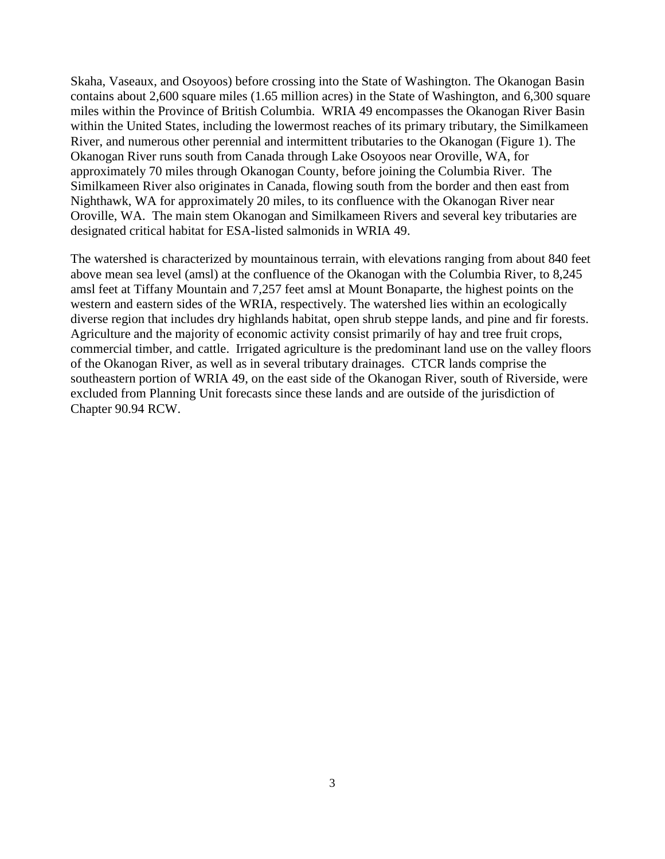Skaha, Vaseaux, and Osoyoos) before crossing into the State of Washington. The Okanogan Basin contains about 2,600 square miles (1.65 million acres) in the State of Washington, and 6,300 square miles within the Province of British Columbia. WRIA 49 encompasses the Okanogan River Basin within the United States, including the lowermost reaches of its primary tributary, the Similkameen River, and numerous other perennial and intermittent tributaries to the Okanogan (Figure 1). The Okanogan River runs south from Canada through Lake Osoyoos near Oroville, WA, for approximately 70 miles through Okanogan County, before joining the Columbia River. The Similkameen River also originates in Canada, flowing south from the border and then east from Nighthawk, WA for approximately 20 miles, to its confluence with the Okanogan River near Oroville, WA. The main stem Okanogan and Similkameen Rivers and several key tributaries are designated critical habitat for ESA-listed salmonids in WRIA 49.

The watershed is characterized by mountainous terrain, with elevations ranging from about 840 feet above mean sea level (amsl) at the confluence of the Okanogan with the Columbia River, to 8,245 amsl feet at Tiffany Mountain and 7,257 feet amsl at Mount Bonaparte, the highest points on the western and eastern sides of the WRIA, respectively. The watershed lies within an ecologically diverse region that includes dry highlands habitat, open shrub steppe lands, and pine and fir forests. Agriculture and the majority of economic activity consist primarily of hay and tree fruit crops, commercial timber, and cattle. Irrigated agriculture is the predominant land use on the valley floors of the Okanogan River, as well as in several tributary drainages. CTCR lands comprise the southeastern portion of WRIA 49, on the east side of the Okanogan River, south of Riverside, were excluded from Planning Unit forecasts since these lands and are outside of the jurisdiction of Chapter 90.94 RCW.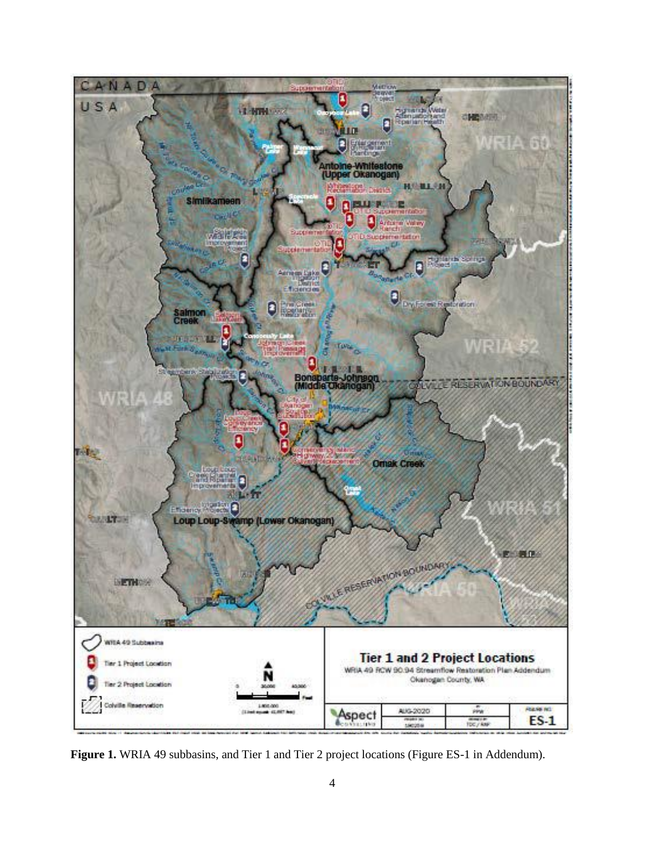

**Figure 1.** WRIA 49 subbasins, and Tier 1 and Tier 2 project locations (Figure ES-1 in Addendum).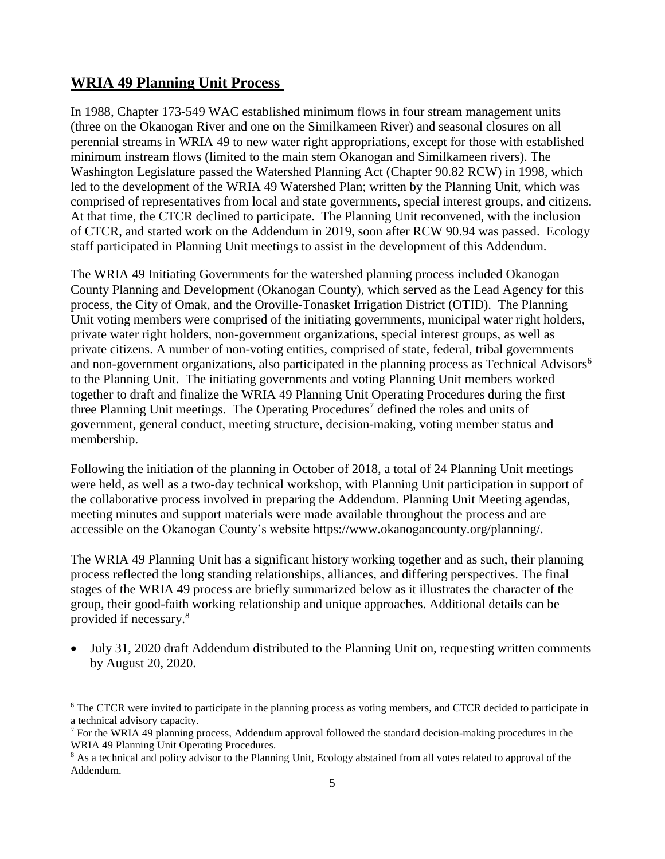### **WRIA 49 Planning Unit Process**

l

In 1988, Chapter 173-549 WAC established minimum flows in four stream management units (three on the Okanogan River and one on the Similkameen River) and seasonal closures on all perennial streams in WRIA 49 to new water right appropriations, except for those with established minimum instream flows (limited to the main stem Okanogan and Similkameen rivers). The Washington Legislature passed the Watershed Planning Act (Chapter 90.82 RCW) in 1998, which led to the development of the WRIA 49 Watershed Plan; written by the Planning Unit, which was comprised of representatives from local and state governments, special interest groups, and citizens. At that time, the CTCR declined to participate. The Planning Unit reconvened, with the inclusion of CTCR, and started work on the Addendum in 2019, soon after RCW 90.94 was passed. Ecology staff participated in Planning Unit meetings to assist in the development of this Addendum.

The WRIA 49 Initiating Governments for the watershed planning process included Okanogan County Planning and Development (Okanogan County), which served as the Lead Agency for this process, the City of Omak, and the Oroville-Tonasket Irrigation District (OTID). The Planning Unit voting members were comprised of the initiating governments, municipal water right holders, private water right holders, non-government organizations, special interest groups, as well as private citizens. A number of non-voting entities, comprised of state, federal, tribal governments and non-government organizations, also participated in the planning process as Technical Advisors<sup>6</sup> to the Planning Unit. The initiating governments and voting Planning Unit members worked together to draft and finalize the WRIA 49 Planning Unit Operating Procedures during the first three Planning Unit meetings. The Operating Procedures<sup>7</sup> defined the roles and units of government, general conduct, meeting structure, decision-making, voting member status and membership.

Following the initiation of the planning in October of 2018, a total of 24 Planning Unit meetings were held, as well as a two-day technical workshop, with Planning Unit participation in support of the collaborative process involved in preparing the Addendum. Planning Unit Meeting agendas, meeting minutes and support materials were made available throughout the process and are accessible on the Okanogan County's website https://www.okanogancounty.org/planning/.

The WRIA 49 Planning Unit has a significant history working together and as such, their planning process reflected the long standing relationships, alliances, and differing perspectives. The final stages of the WRIA 49 process are briefly summarized below as it illustrates the character of the group, their good-faith working relationship and unique approaches. Additional details can be provided if necessary.<sup>8</sup>

• July 31, 2020 draft Addendum distributed to the Planning Unit on, requesting written comments by August 20, 2020.

<sup>&</sup>lt;sup>6</sup> The CTCR were invited to participate in the planning process as voting members, and CTCR decided to participate in a technical advisory capacity.

 $<sup>7</sup>$  For the WRIA 49 planning process, Addendum approval followed the standard decision-making procedures in the</sup> WRIA 49 Planning Unit Operating Procedures.

<sup>&</sup>lt;sup>8</sup> As a technical and policy advisor to the Planning Unit, Ecology abstained from all votes related to approval of the Addendum.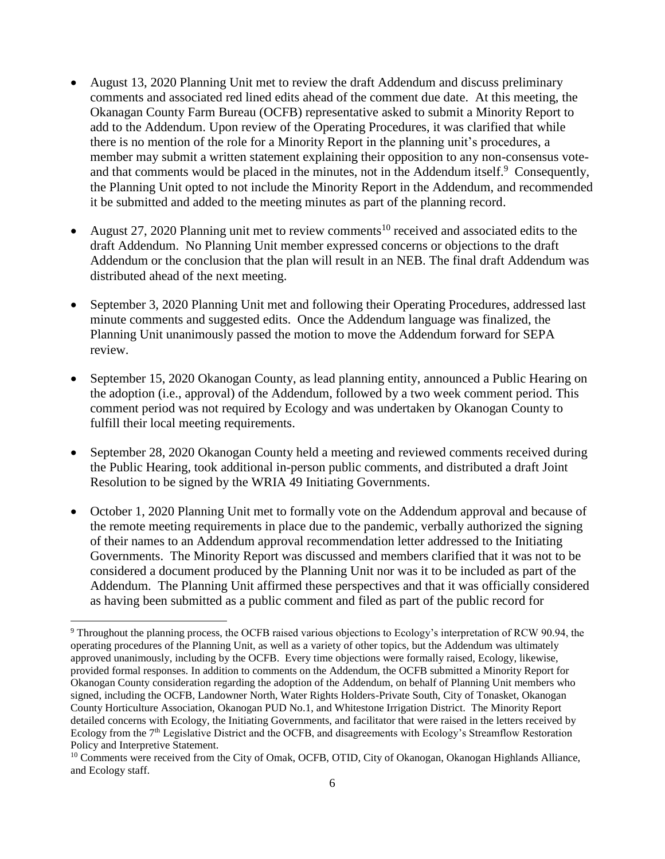- August 13, 2020 Planning Unit met to review the draft Addendum and discuss preliminary comments and associated red lined edits ahead of the comment due date. At this meeting, the Okanagan County Farm Bureau (OCFB) representative asked to submit a Minority Report to add to the Addendum. Upon review of the Operating Procedures, it was clarified that while there is no mention of the role for a Minority Report in the planning unit's procedures, a member may submit a written statement explaining their opposition to any non-consensus voteand that comments would be placed in the minutes, not in the Addendum itself. $9$  Consequently, the Planning Unit opted to not include the Minority Report in the Addendum, and recommended it be submitted and added to the meeting minutes as part of the planning record.
- August 27, 2020 Planning unit met to review comments<sup>10</sup> received and associated edits to the draft Addendum. No Planning Unit member expressed concerns or objections to the draft Addendum or the conclusion that the plan will result in an NEB. The final draft Addendum was distributed ahead of the next meeting.
- September 3, 2020 Planning Unit met and following their Operating Procedures, addressed last minute comments and suggested edits. Once the Addendum language was finalized, the Planning Unit unanimously passed the motion to move the Addendum forward for SEPA review.
- September 15, 2020 Okanogan County, as lead planning entity, announced a Public Hearing on the adoption (i.e., approval) of the Addendum, followed by a two week comment period. This comment period was not required by Ecology and was undertaken by Okanogan County to fulfill their local meeting requirements.
- September 28, 2020 Okanogan County held a meeting and reviewed comments received during the Public Hearing, took additional in-person public comments, and distributed a draft Joint Resolution to be signed by the WRIA 49 Initiating Governments.
- October 1, 2020 Planning Unit met to formally vote on the Addendum approval and because of the remote meeting requirements in place due to the pandemic, verbally authorized the signing of their names to an Addendum approval recommendation letter addressed to the Initiating Governments. The Minority Report was discussed and members clarified that it was not to be considered a document produced by the Planning Unit nor was it to be included as part of the Addendum. The Planning Unit affirmed these perspectives and that it was officially considered as having been submitted as a public comment and filed as part of the public record for

l <sup>9</sup> Throughout the planning process, the OCFB raised various objections to Ecology's interpretation of RCW 90.94, the operating procedures of the Planning Unit, as well as a variety of other topics, but the Addendum was ultimately approved unanimously, including by the OCFB. Every time objections were formally raised, Ecology, likewise, provided formal responses. In addition to comments on the Addendum, the OCFB submitted a Minority Report for Okanogan County consideration regarding the adoption of the Addendum, on behalf of Planning Unit members who signed, including the OCFB, Landowner North, Water Rights Holders-Private South, City of Tonasket, Okanogan County Horticulture Association, Okanogan PUD No.1, and Whitestone Irrigation District. The Minority Report detailed concerns with Ecology, the Initiating Governments, and facilitator that were raised in the letters received by Ecology from the 7th Legislative District and the OCFB, and disagreements with Ecology's Streamflow Restoration Policy and Interpretive Statement.

<sup>&</sup>lt;sup>10</sup> Comments were received from the City of Omak, OCFB, OTID, City of Okanogan, Okanogan Highlands Alliance, and Ecology staff.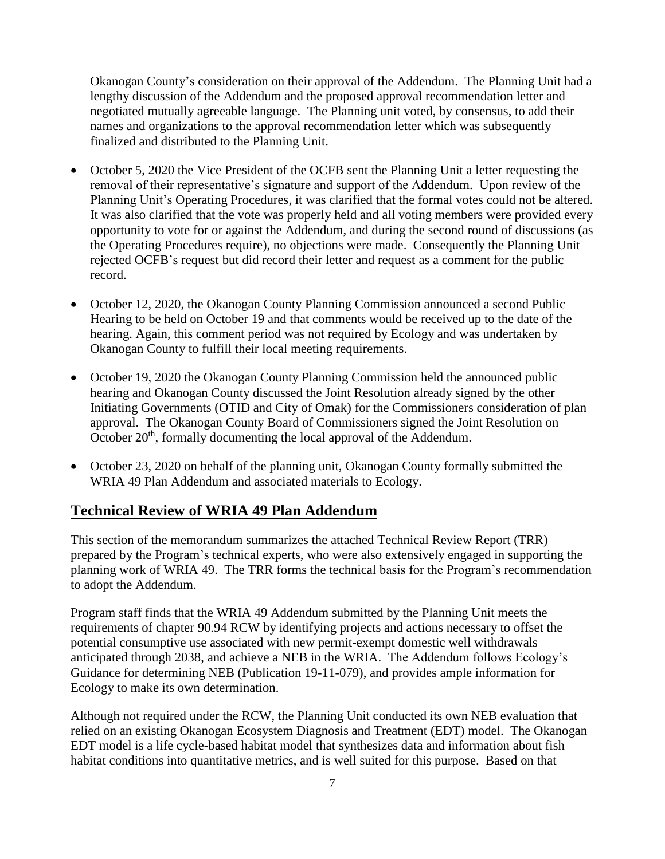Okanogan County's consideration on their approval of the Addendum. The Planning Unit had a lengthy discussion of the Addendum and the proposed approval recommendation letter and negotiated mutually agreeable language. The Planning unit voted, by consensus, to add their names and organizations to the approval recommendation letter which was subsequently finalized and distributed to the Planning Unit.

- October 5, 2020 the Vice President of the OCFB sent the Planning Unit a letter requesting the removal of their representative's signature and support of the Addendum. Upon review of the Planning Unit's Operating Procedures, it was clarified that the formal votes could not be altered. It was also clarified that the vote was properly held and all voting members were provided every opportunity to vote for or against the Addendum, and during the second round of discussions (as the Operating Procedures require), no objections were made. Consequently the Planning Unit rejected OCFB's request but did record their letter and request as a comment for the public record.
- October 12, 2020, the Okanogan County Planning Commission announced a second Public Hearing to be held on October 19 and that comments would be received up to the date of the hearing. Again, this comment period was not required by Ecology and was undertaken by Okanogan County to fulfill their local meeting requirements.
- October 19, 2020 the Okanogan County Planning Commission held the announced public hearing and Okanogan County discussed the Joint Resolution already signed by the other Initiating Governments (OTID and City of Omak) for the Commissioners consideration of plan approval. The Okanogan County Board of Commissioners signed the Joint Resolution on October 20<sup>th</sup>, formally documenting the local approval of the Addendum.
- October 23, 2020 on behalf of the planning unit, Okanogan County formally submitted the WRIA 49 Plan Addendum and associated materials to Ecology.

#### **Technical Review of WRIA 49 Plan Addendum**

This section of the memorandum summarizes the attached Technical Review Report (TRR) prepared by the Program's technical experts, who were also extensively engaged in supporting the planning work of WRIA 49. The TRR forms the technical basis for the Program's recommendation to adopt the Addendum.

Program staff finds that the WRIA 49 Addendum submitted by the Planning Unit meets the requirements of chapter 90.94 RCW by identifying projects and actions necessary to offset the potential consumptive use associated with new permit-exempt domestic well withdrawals anticipated through 2038, and achieve a NEB in the WRIA. The Addendum follows Ecology's Guidance for determining NEB (Publication 19-11-079), and provides ample information for Ecology to make its own determination.

Although not required under the RCW, the Planning Unit conducted its own NEB evaluation that relied on an existing Okanogan Ecosystem Diagnosis and Treatment (EDT) model. The Okanogan EDT model is a life cycle-based habitat model that synthesizes data and information about fish habitat conditions into quantitative metrics, and is well suited for this purpose. Based on that